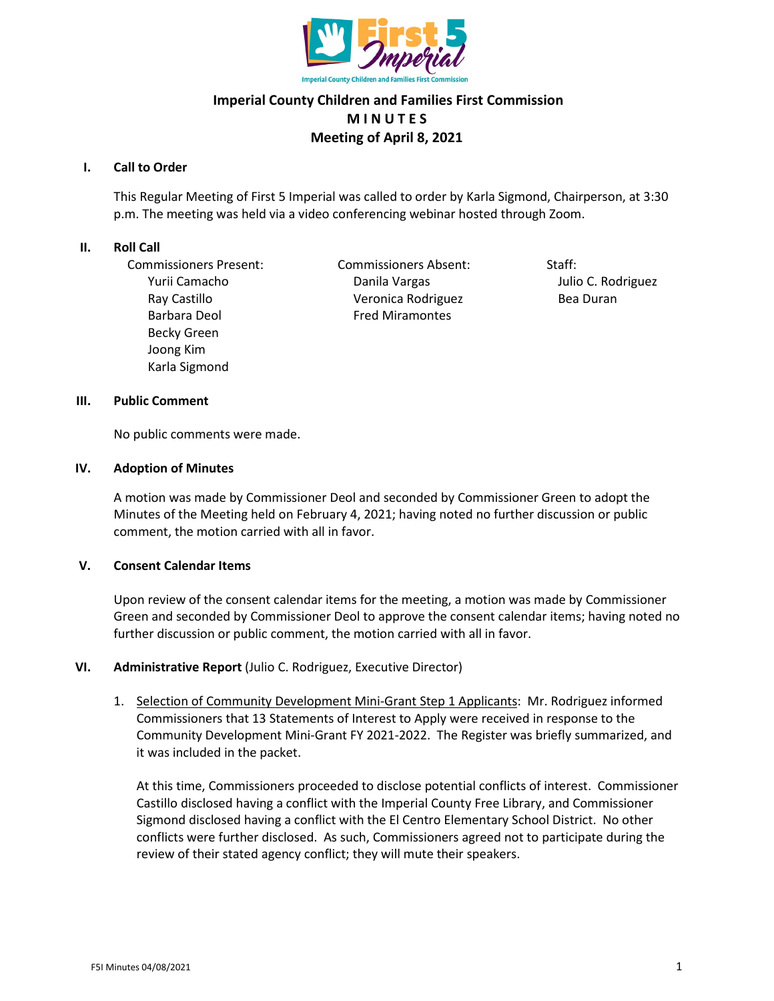

# **Imperial County Children and Families First Commission M I N U T E S Meeting of April 8, 2021**

### **I. Call to Order**

This Regular Meeting of First 5 Imperial was called to order by Karla Sigmond, Chairperson, at 3:30 p.m. The meeting was held via a video conferencing webinar hosted through Zoom.

#### **II. Roll Call**

Commissioners Present: Commissioners Absent: Staff: Barbara Deol **Fred Miramontes** Becky Green Joong Kim Karla Sigmond

Yurii Camacho Danila Vargas Julio C. Rodriguez Ray Castillo **National Community Contract Veronica Rodriguez** Bea Duran

### **III. Public Comment**

No public comments were made.

### **IV. Adoption of Minutes**

A motion was made by Commissioner Deol and seconded by Commissioner Green to adopt the Minutes of the Meeting held on February 4, 2021; having noted no further discussion or public comment, the motion carried with all in favor.

# **V. Consent Calendar Items**

Upon review of the consent calendar items for the meeting, a motion was made by Commissioner Green and seconded by Commissioner Deol to approve the consent calendar items; having noted no further discussion or public comment, the motion carried with all in favor.

# **VI. Administrative Report** (Julio C. Rodriguez, Executive Director)

1. Selection of Community Development Mini-Grant Step 1 Applicants: Mr. Rodriguez informed Commissioners that 13 Statements of Interest to Apply were received in response to the Community Development Mini-Grant FY 2021-2022. The Register was briefly summarized, and it was included in the packet.

At this time, Commissioners proceeded to disclose potential conflicts of interest. Commissioner Castillo disclosed having a conflict with the Imperial County Free Library, and Commissioner Sigmond disclosed having a conflict with the El Centro Elementary School District. No other conflicts were further disclosed. As such, Commissioners agreed not to participate during the review of their stated agency conflict; they will mute their speakers.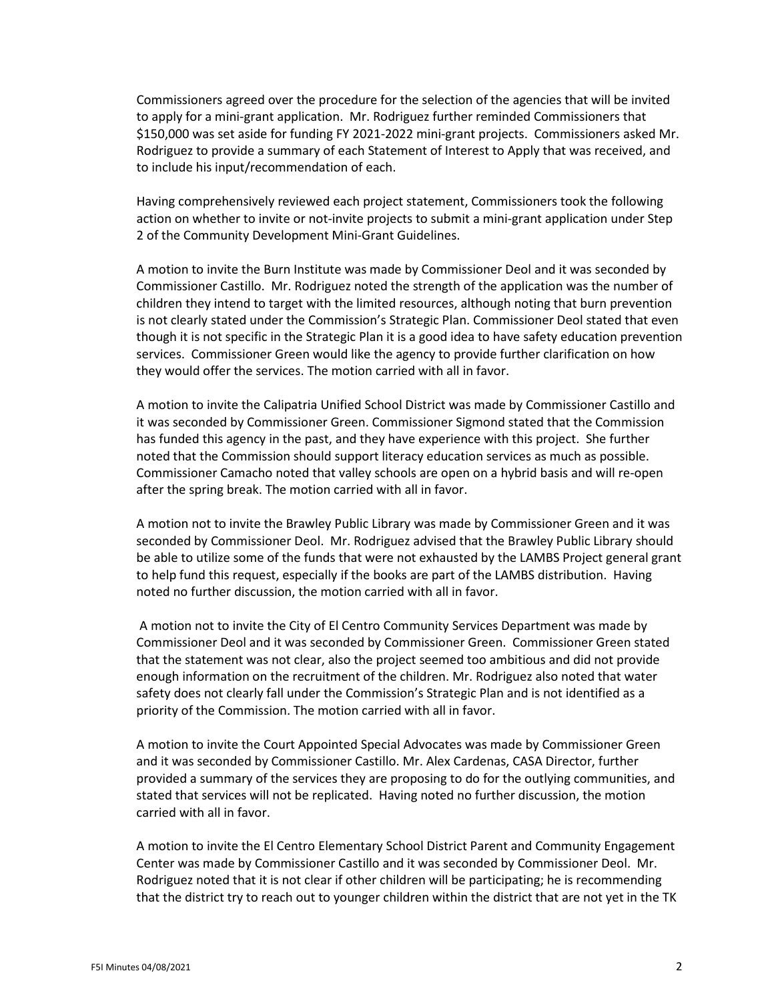Commissioners agreed over the procedure for the selection of the agencies that will be invited to apply for a mini-grant application. Mr. Rodriguez further reminded Commissioners that \$150,000 was set aside for funding FY 2021-2022 mini-grant projects. Commissioners asked Mr. Rodriguez to provide a summary of each Statement of Interest to Apply that was received, and to include his input/recommendation of each.

Having comprehensively reviewed each project statement, Commissioners took the following action on whether to invite or not-invite projects to submit a mini-grant application under Step 2 of the Community Development Mini-Grant Guidelines.

A motion to invite the Burn Institute was made by Commissioner Deol and it was seconded by Commissioner Castillo. Mr. Rodriguez noted the strength of the application was the number of children they intend to target with the limited resources, although noting that burn prevention is not clearly stated under the Commission's Strategic Plan. Commissioner Deol stated that even though it is not specific in the Strategic Plan it is a good idea to have safety education prevention services. Commissioner Green would like the agency to provide further clarification on how they would offer the services. The motion carried with all in favor.

A motion to invite the Calipatria Unified School District was made by Commissioner Castillo and it was seconded by Commissioner Green. Commissioner Sigmond stated that the Commission has funded this agency in the past, and they have experience with this project. She further noted that the Commission should support literacy education services as much as possible. Commissioner Camacho noted that valley schools are open on a hybrid basis and will re-open after the spring break. The motion carried with all in favor.

A motion not to invite the Brawley Public Library was made by Commissioner Green and it was seconded by Commissioner Deol. Mr. Rodriguez advised that the Brawley Public Library should be able to utilize some of the funds that were not exhausted by the LAMBS Project general grant to help fund this request, especially if the books are part of the LAMBS distribution. Having noted no further discussion, the motion carried with all in favor.

A motion not to invite the City of El Centro Community Services Department was made by Commissioner Deol and it was seconded by Commissioner Green. Commissioner Green stated that the statement was not clear, also the project seemed too ambitious and did not provide enough information on the recruitment of the children. Mr. Rodriguez also noted that water safety does not clearly fall under the Commission's Strategic Plan and is not identified as a priority of the Commission. The motion carried with all in favor.

A motion to invite the Court Appointed Special Advocates was made by Commissioner Green and it was seconded by Commissioner Castillo. Mr. Alex Cardenas, CASA Director, further provided a summary of the services they are proposing to do for the outlying communities, and stated that services will not be replicated. Having noted no further discussion, the motion carried with all in favor.

A motion to invite the El Centro Elementary School District Parent and Community Engagement Center was made by Commissioner Castillo and it was seconded by Commissioner Deol. Mr. Rodriguez noted that it is not clear if other children will be participating; he is recommending that the district try to reach out to younger children within the district that are not yet in the TK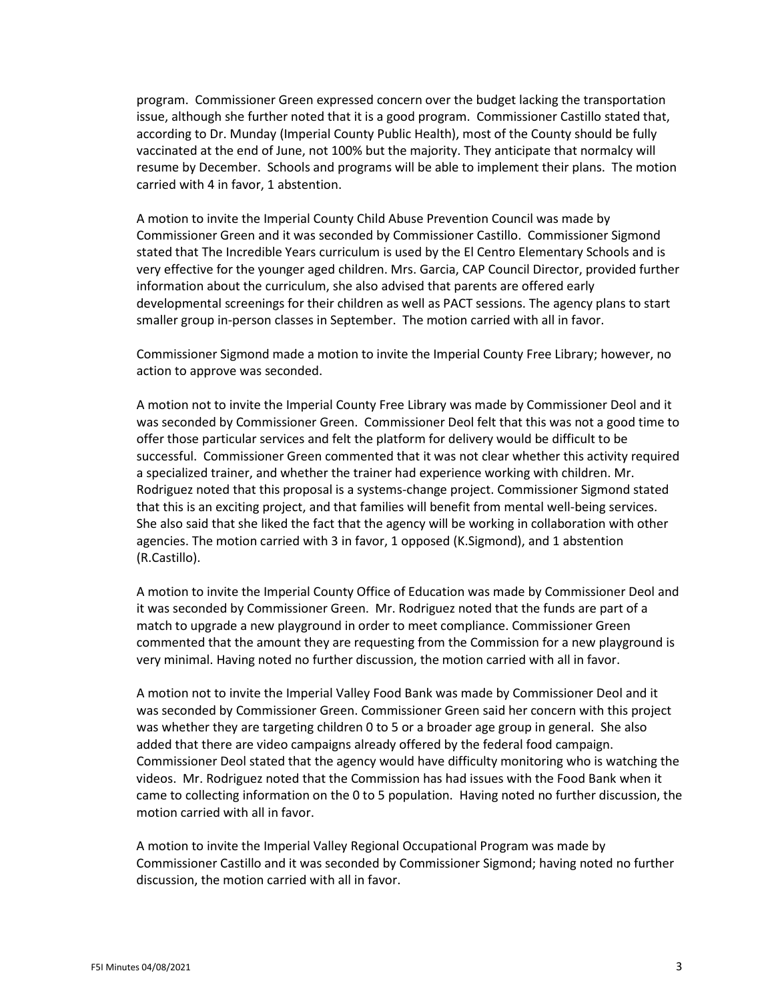program. Commissioner Green expressed concern over the budget lacking the transportation issue, although she further noted that it is a good program. Commissioner Castillo stated that, according to Dr. Munday (Imperial County Public Health), most of the County should be fully vaccinated at the end of June, not 100% but the majority. They anticipate that normalcy will resume by December. Schools and programs will be able to implement their plans. The motion carried with 4 in favor, 1 abstention.

A motion to invite the Imperial County Child Abuse Prevention Council was made by Commissioner Green and it was seconded by Commissioner Castillo. Commissioner Sigmond stated that The Incredible Years curriculum is used by the El Centro Elementary Schools and is very effective for the younger aged children. Mrs. Garcia, CAP Council Director, provided further information about the curriculum, she also advised that parents are offered early developmental screenings for their children as well as PACT sessions. The agency plans to start smaller group in-person classes in September. The motion carried with all in favor.

Commissioner Sigmond made a motion to invite the Imperial County Free Library; however, no action to approve was seconded.

A motion not to invite the Imperial County Free Library was made by Commissioner Deol and it was seconded by Commissioner Green. Commissioner Deol felt that this was not a good time to offer those particular services and felt the platform for delivery would be difficult to be successful. Commissioner Green commented that it was not clear whether this activity required a specialized trainer, and whether the trainer had experience working with children. Mr. Rodriguez noted that this proposal is a systems-change project. Commissioner Sigmond stated that this is an exciting project, and that families will benefit from mental well-being services. She also said that she liked the fact that the agency will be working in collaboration with other agencies. The motion carried with 3 in favor, 1 opposed (K.Sigmond), and 1 abstention (R.Castillo).

A motion to invite the Imperial County Office of Education was made by Commissioner Deol and it was seconded by Commissioner Green. Mr. Rodriguez noted that the funds are part of a match to upgrade a new playground in order to meet compliance. Commissioner Green commented that the amount they are requesting from the Commission for a new playground is very minimal. Having noted no further discussion, the motion carried with all in favor.

A motion not to invite the Imperial Valley Food Bank was made by Commissioner Deol and it was seconded by Commissioner Green. Commissioner Green said her concern with this project was whether they are targeting children 0 to 5 or a broader age group in general. She also added that there are video campaigns already offered by the federal food campaign. Commissioner Deol stated that the agency would have difficulty monitoring who is watching the videos. Mr. Rodriguez noted that the Commission has had issues with the Food Bank when it came to collecting information on the 0 to 5 population. Having noted no further discussion, the motion carried with all in favor.

A motion to invite the Imperial Valley Regional Occupational Program was made by Commissioner Castillo and it was seconded by Commissioner Sigmond; having noted no further discussion, the motion carried with all in favor.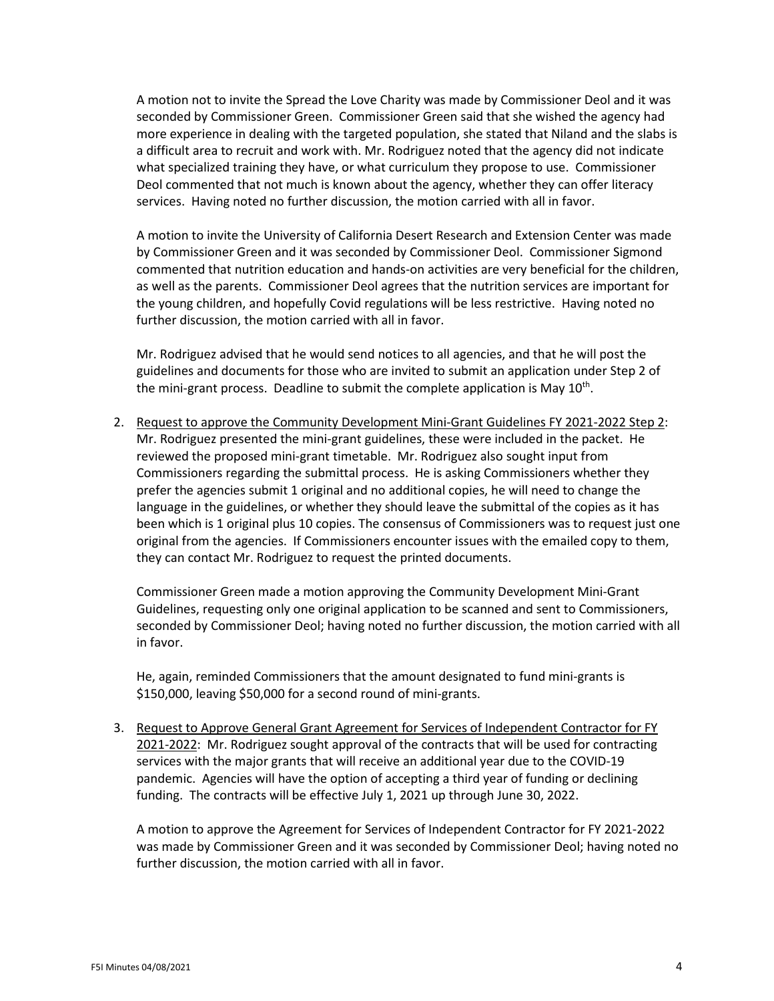A motion not to invite the Spread the Love Charity was made by Commissioner Deol and it was seconded by Commissioner Green. Commissioner Green said that she wished the agency had more experience in dealing with the targeted population, she stated that Niland and the slabs is a difficult area to recruit and work with. Mr. Rodriguez noted that the agency did not indicate what specialized training they have, or what curriculum they propose to use. Commissioner Deol commented that not much is known about the agency, whether they can offer literacy services. Having noted no further discussion, the motion carried with all in favor.

A motion to invite the University of California Desert Research and Extension Center was made by Commissioner Green and it was seconded by Commissioner Deol. Commissioner Sigmond commented that nutrition education and hands-on activities are very beneficial for the children, as well as the parents. Commissioner Deol agrees that the nutrition services are important for the young children, and hopefully Covid regulations will be less restrictive. Having noted no further discussion, the motion carried with all in favor.

Mr. Rodriguez advised that he would send notices to all agencies, and that he will post the guidelines and documents for those who are invited to submit an application under Step 2 of the mini-grant process. Deadline to submit the complete application is May  $10^{th}$ .

2. Request to approve the Community Development Mini-Grant Guidelines FY 2021-2022 Step 2: Mr. Rodriguez presented the mini-grant guidelines, these were included in the packet. He reviewed the proposed mini-grant timetable. Mr. Rodriguez also sought input from Commissioners regarding the submittal process. He is asking Commissioners whether they prefer the agencies submit 1 original and no additional copies, he will need to change the language in the guidelines, or whether they should leave the submittal of the copies as it has been which is 1 original plus 10 copies. The consensus of Commissioners was to request just one original from the agencies. If Commissioners encounter issues with the emailed copy to them, they can contact Mr. Rodriguez to request the printed documents.

Commissioner Green made a motion approving the Community Development Mini-Grant Guidelines, requesting only one original application to be scanned and sent to Commissioners, seconded by Commissioner Deol; having noted no further discussion, the motion carried with all in favor.

He, again, reminded Commissioners that the amount designated to fund mini-grants is \$150,000, leaving \$50,000 for a second round of mini-grants.

3. Request to Approve General Grant Agreement for Services of Independent Contractor for FY 2021-2022: Mr. Rodriguez sought approval of the contracts that will be used for contracting services with the major grants that will receive an additional year due to the COVID-19 pandemic. Agencies will have the option of accepting a third year of funding or declining funding. The contracts will be effective July 1, 2021 up through June 30, 2022.

A motion to approve the Agreement for Services of Independent Contractor for FY 2021-2022 was made by Commissioner Green and it was seconded by Commissioner Deol; having noted no further discussion, the motion carried with all in favor.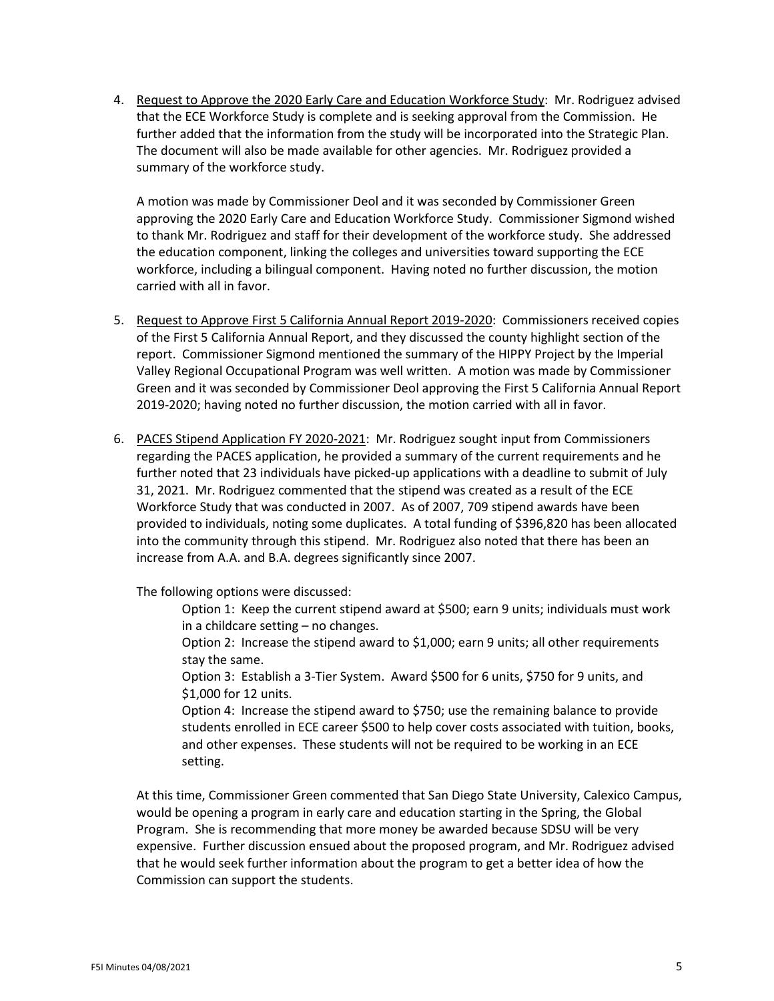4. Request to Approve the 2020 Early Care and Education Workforce Study: Mr. Rodriguez advised that the ECE Workforce Study is complete and is seeking approval from the Commission. He further added that the information from the study will be incorporated into the Strategic Plan. The document will also be made available for other agencies. Mr. Rodriguez provided a summary of the workforce study.

A motion was made by Commissioner Deol and it was seconded by Commissioner Green approving the 2020 Early Care and Education Workforce Study. Commissioner Sigmond wished to thank Mr. Rodriguez and staff for their development of the workforce study. She addressed the education component, linking the colleges and universities toward supporting the ECE workforce, including a bilingual component. Having noted no further discussion, the motion carried with all in favor.

- 5. Request to Approve First 5 California Annual Report 2019-2020: Commissioners received copies of the First 5 California Annual Report, and they discussed the county highlight section of the report. Commissioner Sigmond mentioned the summary of the HIPPY Project by the Imperial Valley Regional Occupational Program was well written. A motion was made by Commissioner Green and it was seconded by Commissioner Deol approving the First 5 California Annual Report 2019-2020; having noted no further discussion, the motion carried with all in favor.
- 6. PACES Stipend Application FY 2020-2021: Mr. Rodriguez sought input from Commissioners regarding the PACES application, he provided a summary of the current requirements and he further noted that 23 individuals have picked-up applications with a deadline to submit of July 31, 2021. Mr. Rodriguez commented that the stipend was created as a result of the ECE Workforce Study that was conducted in 2007. As of 2007, 709 stipend awards have been provided to individuals, noting some duplicates. A total funding of \$396,820 has been allocated into the community through this stipend. Mr. Rodriguez also noted that there has been an increase from A.A. and B.A. degrees significantly since 2007.

The following options were discussed:

Option 1: Keep the current stipend award at \$500; earn 9 units; individuals must work in a childcare setting – no changes.

Option 2: Increase the stipend award to \$1,000; earn 9 units; all other requirements stay the same.

Option 3: Establish a 3-Tier System. Award \$500 for 6 units, \$750 for 9 units, and \$1,000 for 12 units.

Option 4: Increase the stipend award to \$750; use the remaining balance to provide students enrolled in ECE career \$500 to help cover costs associated with tuition, books, and other expenses. These students will not be required to be working in an ECE setting.

At this time, Commissioner Green commented that San Diego State University, Calexico Campus, would be opening a program in early care and education starting in the Spring, the Global Program. She is recommending that more money be awarded because SDSU will be very expensive. Further discussion ensued about the proposed program, and Mr. Rodriguez advised that he would seek further information about the program to get a better idea of how the Commission can support the students.